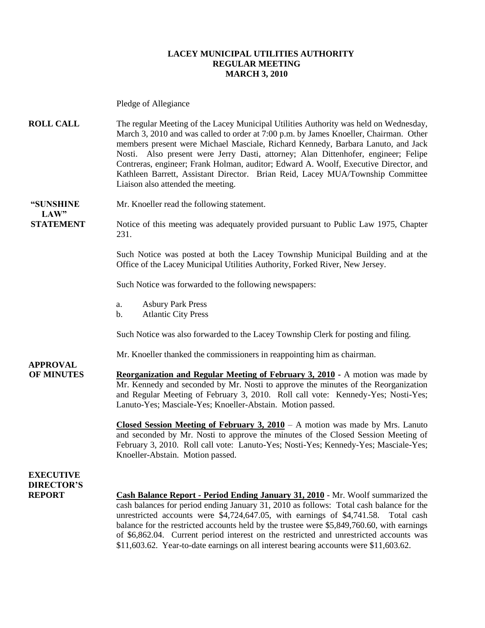#### **LACEY MUNICIPAL UTILITIES AUTHORITY REGULAR MEETING MARCH 3, 2010**

Pledge of Allegiance

**ROLL CALL** The regular Meeting of the Lacey Municipal Utilities Authority was held on Wednesday, March 3, 2010 and was called to order at 7:00 p.m. by James Knoeller, Chairman. Other members present were Michael Masciale, Richard Kennedy, Barbara Lanuto, and Jack Nosti. Also present were Jerry Dasti, attorney; Alan Dittenhofer, engineer; Felipe Contreras, engineer; Frank Holman, auditor; Edward A. Woolf, Executive Director, and Kathleen Barrett, Assistant Director. Brian Reid, Lacey MUA/Township Committee Liaison also attended the meeting.

 $LAW"$ 

**"SUNSHINE** Mr. Knoeller read the following statement.

**STATEMENT** Notice of this meeting was adequately provided pursuant to Public Law 1975, Chapter 231.

> Such Notice was posted at both the Lacey Township Municipal Building and at the Office of the Lacey Municipal Utilities Authority, Forked River, New Jersey.

Such Notice was forwarded to the following newspapers:

- a. Asbury Park Press
- b. Atlantic City Press

Such Notice was also forwarded to the Lacey Township Clerk for posting and filing.

Mr. Knoeller thanked the commissioners in reappointing him as chairman.

**OF MINUTES Reorganization and Regular Meeting of February 3, 2010 -** A motion was made by Mr. Kennedy and seconded by Mr. Nosti to approve the minutes of the Reorganization and Regular Meeting of February 3, 2010. Roll call vote: Kennedy-Yes; Nosti-Yes; Lanuto-Yes; Masciale-Yes; Knoeller-Abstain. Motion passed.

> **Closed Session Meeting of February 3, 2010** – A motion was made by Mrs. Lanuto and seconded by Mr. Nosti to approve the minutes of the Closed Session Meeting of February 3, 2010. Roll call vote: Lanuto-Yes; Nosti-Yes; Kennedy-Yes; Masciale-Yes; Knoeller-Abstain. Motion passed.

### **EXECUTIVE DIRECTOR'S**

**APPROVAL**

**REPORT Cash Balance Report - Period Ending January 31, 2010** - Mr. Woolf summarized the cash balances for period ending January 31, 2010 as follows: Total cash balance for the unrestricted accounts were \$4,724,647.05, with earnings of \$4,741.58. Total cash balance for the restricted accounts held by the trustee were \$5,849,760.60, with earnings of \$6,862.04. Current period interest on the restricted and unrestricted accounts was \$11,603.62. Year-to-date earnings on all interest bearing accounts were \$11,603.62.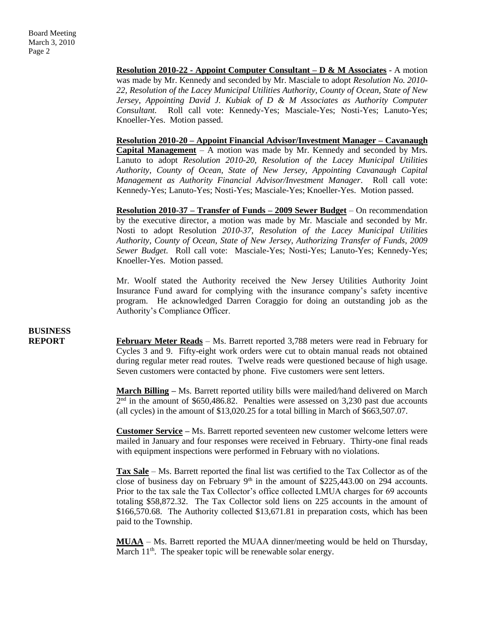**Resolution 2010-22 - Appoint Computer Consultant – D & M Associates** - A motion was made by Mr. Kennedy and seconded by Mr. Masciale to adopt *Resolution No. 2010- 22, Resolution of the Lacey Municipal Utilities Authority, County of Ocean, State of New Jersey, Appointing David J. Kubiak of D & M Associates as Authority Computer Consultant.* Roll call vote: Kennedy-Yes; Masciale-Yes; Nosti-Yes; Lanuto-Yes; Knoeller-Yes. Motion passed.

**Resolution 2010-20 – Appoint Financial Advisor/Investment Manager – Cavanaugh Capital Management** *–* A motion was made by Mr. Kennedy and seconded by Mrs. Lanuto to adopt *Resolution 2010-20, Resolution of the Lacey Municipal Utilities Authority, County of Ocean, State of New Jersey, Appointing Cavanaugh Capital Management as Authority Financial Advisor/Investment Manager*. Roll call vote: Kennedy-Yes; Lanuto-Yes; Nosti-Yes; Masciale-Yes; Knoeller-Yes. Motion passed.

**Resolution 2010-37 – Transfer of Funds – 2009 Sewer Budget** – On recommendation by the executive director, a motion was made by Mr. Masciale and seconded by Mr. Nosti to adopt Resolution *2010-37, Resolution of the Lacey Municipal Utilities Authority, County of Ocean, State of New Jersey, Authorizing Transfer of Funds, 2009 Sewer Budget.* Roll call vote: Masciale-Yes; Nosti-Yes; Lanuto-Yes; Kennedy-Yes; Knoeller-Yes. Motion passed.

Mr. Woolf stated the Authority received the New Jersey Utilities Authority Joint Insurance Fund award for complying with the insurance company's safety incentive program. He acknowledged Darren Coraggio for doing an outstanding job as the Authority's Compliance Officer.

**REPORT February Meter Reads** – Ms. Barrett reported 3,788 meters were read in February for Cycles 3 and 9. Fifty-eight work orders were cut to obtain manual reads not obtained during regular meter read routes. Twelve reads were questioned because of high usage. Seven customers were contacted by phone. Five customers were sent letters.

> **March Billing –** Ms. Barrett reported utility bills were mailed/hand delivered on March  $2<sup>nd</sup>$  in the amount of \$650,486.82. Penalties were assessed on 3,230 past due accounts (all cycles) in the amount of \$13,020.25 for a total billing in March of \$663,507.07.

> **Customer Service –** Ms. Barrett reported seventeen new customer welcome letters were mailed in January and four responses were received in February. Thirty-one final reads with equipment inspections were performed in February with no violations.

> **Tax Sale** – Ms. Barrett reported the final list was certified to the Tax Collector as of the close of business day on February  $9<sup>th</sup>$  in the amount of \$225,443.00 on 294 accounts. Prior to the tax sale the Tax Collector's office collected LMUA charges for 69 accounts totaling \$58,872.32. The Tax Collector sold liens on 225 accounts in the amount of \$166,570.68. The Authority collected \$13,671.81 in preparation costs, which has been paid to the Township.

> **MUAA** – Ms. Barrett reported the MUAA dinner/meeting would be held on Thursday, March  $11<sup>th</sup>$ . The speaker topic will be renewable solar energy.

# **BUSINESS**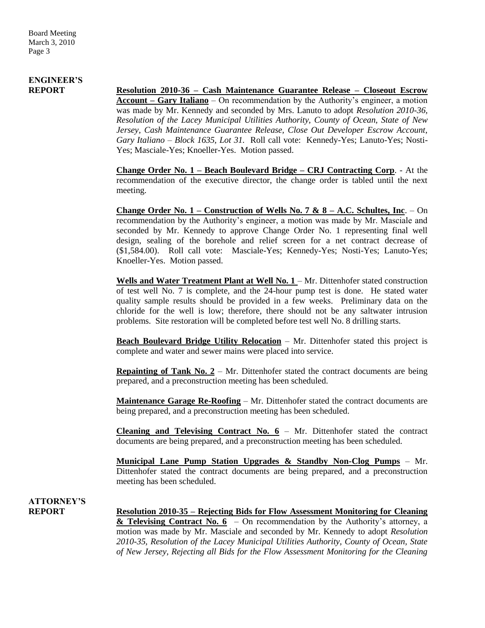# **ENGINEER'S**

**REPORT Resolution 2010-36 – Cash Maintenance Guarantee Release – Closeout Escrow Account – Gary Italiano** – On recommendation by the Authority's engineer, a motion was made by Mr. Kennedy and seconded by Mrs. Lanuto to adopt *Resolution 2010-36, Resolution of the Lacey Municipal Utilities Authority, County of Ocean, State of New Jersey, Cash Maintenance Guarantee Release, Close Out Developer Escrow Account, Gary Italiano – Block 1635, Lot 31.* Roll call vote: Kennedy-Yes; Lanuto-Yes; Nosti-Yes; Masciale-Yes; Knoeller-Yes. Motion passed.

> **Change Order No. 1 – Beach Boulevard Bridge – CRJ Contracting Corp**. - At the recommendation of the executive director, the change order is tabled until the next meeting.

> **Change Order No. 1 – Construction of Wells No. 7 & 8 – A.C. Schultes, Inc**. – On recommendation by the Authority's engineer, a motion was made by Mr. Masciale and seconded by Mr. Kennedy to approve Change Order No. 1 representing final well design, sealing of the borehole and relief screen for a net contract decrease of (\$1,584.00). Roll call vote: Masciale-Yes; Kennedy-Yes; Nosti-Yes; Lanuto-Yes; Knoeller-Yes. Motion passed.

> Wells and Water Treatment Plant at Well No. 1 – Mr. Dittenhofer stated construction of test well No. 7 is complete, and the 24-hour pump test is done. He stated water quality sample results should be provided in a few weeks. Preliminary data on the chloride for the well is low; therefore, there should not be any saltwater intrusion problems. Site restoration will be completed before test well No. 8 drilling starts.

> **Beach Boulevard Bridge Utility Relocation** – Mr. Dittenhofer stated this project is complete and water and sewer mains were placed into service.

> **Repainting of Tank No. 2** – Mr. Dittenhofer stated the contract documents are being prepared, and a preconstruction meeting has been scheduled.

> **Maintenance Garage Re-Roofing** – Mr. Dittenhofer stated the contract documents are being prepared, and a preconstruction meeting has been scheduled.

> **Cleaning and Televising Contract No. 6** – Mr. Dittenhofer stated the contract documents are being prepared, and a preconstruction meeting has been scheduled.

> **Municipal Lane Pump Station Upgrades & Standby Non-Clog Pumps** – Mr. Dittenhofer stated the contract documents are being prepared, and a preconstruction meeting has been scheduled.

# **ATTORNEY'S**

**REPORT Resolution 2010-35 – Rejecting Bids for Flow Assessment Monitoring for Cleaning & Televising Contract No. 6** – On recommendation by the Authority's attorney, a motion was made by Mr. Masciale and seconded by Mr. Kennedy to adopt *Resolution 2010-35, Resolution of the Lacey Municipal Utilities Authority, County of Ocean, State of New Jersey, Rejecting all Bids for the Flow Assessment Monitoring for the Cleaning*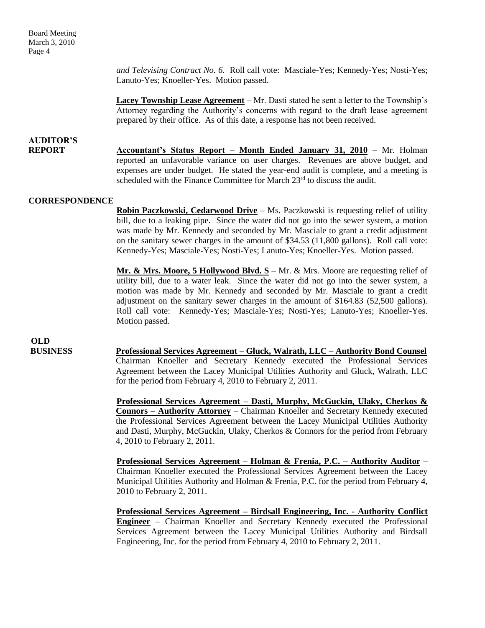*and Televising Contract No. 6.* Roll call vote: Masciale-Yes; Kennedy-Yes; Nosti-Yes; Lanuto-Yes; Knoeller-Yes. Motion passed.

**Lacey Township Lease Agreement** – Mr. Dasti stated he sent a letter to the Township's Attorney regarding the Authority's concerns with regard to the draft lease agreement prepared by their office. As of this date, a response has not been received.

## **AUDITOR'S**

**REPORT Accountant's Status Report – Month Ended January 31, 2010 –** Mr. Holman reported an unfavorable variance on user charges. Revenues are above budget, and expenses are under budget. He stated the year-end audit is complete, and a meeting is scheduled with the Finance Committee for March 23<sup>rd</sup> to discuss the audit.

#### **CORRESPONDENCE**

**Robin Paczkowski, Cedarwood Drive** – Ms. Paczkowski is requesting relief of utility bill, due to a leaking pipe. Since the water did not go into the sewer system, a motion was made by Mr. Kennedy and seconded by Mr. Masciale to grant a credit adjustment on the sanitary sewer charges in the amount of \$34.53 (11,800 gallons). Roll call vote: Kennedy-Yes; Masciale-Yes; Nosti-Yes; Lanuto-Yes; Knoeller-Yes. Motion passed.

**Mr. & Mrs. Moore, 5 Hollywood Blvd. S** – Mr. & Mrs. Moore are requesting relief of utility bill, due to a water leak. Since the water did not go into the sewer system, a motion was made by Mr. Kennedy and seconded by Mr. Masciale to grant a credit adjustment on the sanitary sewer charges in the amount of \$164.83 (52,500 gallons). Roll call vote: Kennedy-Yes; Masciale-Yes; Nosti-Yes; Lanuto-Yes; Knoeller-Yes. Motion passed.

**OLD<br>BUSINESS** 

**Professional Services Agreement – Gluck, Walrath, LLC – Authority Bond Counsel** Chairman Knoeller and Secretary Kennedy executed the Professional Services Agreement between the Lacey Municipal Utilities Authority and Gluck, Walrath, LLC for the period from February 4, 2010 to February 2, 2011.

**Professional Services Agreement – Dasti, Murphy, McGuckin, Ulaky, Cherkos & Connors – Authority Attorney** – Chairman Knoeller and Secretary Kennedy executed the Professional Services Agreement between the Lacey Municipal Utilities Authority and Dasti, Murphy, McGuckin, Ulaky, Cherkos & Connors for the period from February 4, 2010 to February 2, 2011.

**Professional Services Agreement – Holman & Frenia, P.C. – Authority Auditor** – Chairman Knoeller executed the Professional Services Agreement between the Lacey Municipal Utilities Authority and Holman & Frenia, P.C. for the period from February 4, 2010 to February 2, 2011.

**Professional Services Agreement – Birdsall Engineering, Inc. - Authority Conflict Engineer** – Chairman Knoeller and Secretary Kennedy executed the Professional Services Agreement between the Lacey Municipal Utilities Authority and Birdsall Engineering, Inc. for the period from February 4, 2010 to February 2, 2011.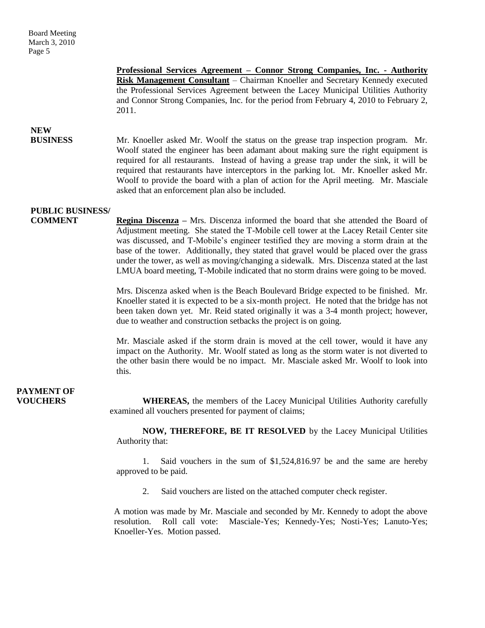**Professional Services Agreement – Connor Strong Companies, Inc. - Authority Risk Management Consultant** – Chairman Knoeller and Secretary Kennedy executed the Professional Services Agreement between the Lacey Municipal Utilities Authority and Connor Strong Companies, Inc. for the period from February 4, 2010 to February 2, 2011.

## **NEW**

 **BUSINESS** Mr. Knoeller asked Mr. Woolf the status on the grease trap inspection program. Mr. Woolf stated the engineer has been adamant about making sure the right equipment is required for all restaurants. Instead of having a grease trap under the sink, it will be required that restaurants have interceptors in the parking lot. Mr. Knoeller asked Mr. Woolf to provide the board with a plan of action for the April meeting. Mr. Masciale asked that an enforcement plan also be included.

### **PUBLIC BUSINESS/**

**COMMENT Regina Discenza –** Mrs. Discenza informed the board that she attended the Board of Adjustment meeting. She stated the T-Mobile cell tower at the Lacey Retail Center site was discussed, and T-Mobile's engineer testified they are moving a storm drain at the base of the tower. Additionally, they stated that gravel would be placed over the grass under the tower, as well as moving/changing a sidewalk. Mrs. Discenza stated at the last LMUA board meeting, T-Mobile indicated that no storm drains were going to be moved.

> Mrs. Discenza asked when is the Beach Boulevard Bridge expected to be finished. Mr. Knoeller stated it is expected to be a six-month project. He noted that the bridge has not been taken down yet. Mr. Reid stated originally it was a 3-4 month project; however, due to weather and construction setbacks the project is on going.

> Mr. Masciale asked if the storm drain is moved at the cell tower, would it have any impact on the Authority. Mr. Woolf stated as long as the storm water is not diverted to the other basin there would be no impact. Mr. Masciale asked Mr. Woolf to look into this.

# **PAYMENT OF**

**VOUCHERS** WHEREAS, the members of the Lacey Municipal Utilities Authority carefully examined all vouchers presented for payment of claims;

> **NOW, THEREFORE, BE IT RESOLVED** by the Lacey Municipal Utilities Authority that:

> 1. Said vouchers in the sum of \$1,524,816.97 be and the same are hereby approved to be paid.

2. Said vouchers are listed on the attached computer check register.

A motion was made by Mr. Masciale and seconded by Mr. Kennedy to adopt the above resolution. Roll call vote: Masciale-Yes; Kennedy-Yes; Nosti-Yes; Lanuto-Yes; Knoeller-Yes. Motion passed.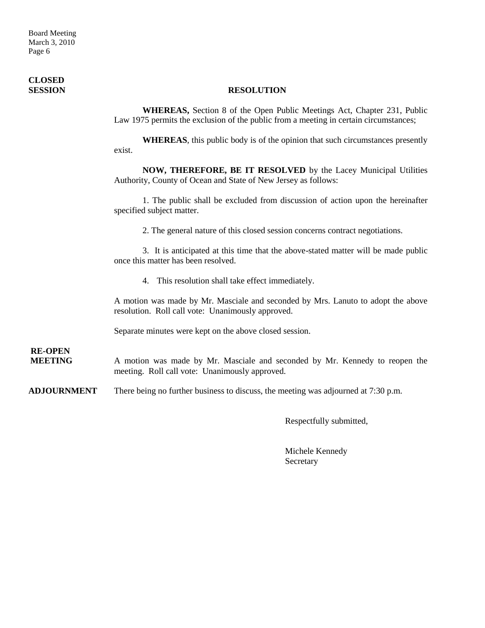Board Meeting March 3, 2010 Page 6

# **CLOSED**

#### **SESSION RESOLUTION**

**WHEREAS,** Section 8 of the Open Public Meetings Act, Chapter 231, Public Law 1975 permits the exclusion of the public from a meeting in certain circumstances;

**WHEREAS**, this public body is of the opinion that such circumstances presently exist.

**NOW, THEREFORE, BE IT RESOLVED** by the Lacey Municipal Utilities Authority, County of Ocean and State of New Jersey as follows:

1. The public shall be excluded from discussion of action upon the hereinafter specified subject matter.

2. The general nature of this closed session concerns contract negotiations.

3. It is anticipated at this time that the above-stated matter will be made public once this matter has been resolved.

4. This resolution shall take effect immediately.

A motion was made by Mr. Masciale and seconded by Mrs. Lanuto to adopt the above resolution. Roll call vote: Unanimously approved.

Separate minutes were kept on the above closed session.

**RE-OPEN**

A motion was made by Mr. Masciale and seconded by Mr. Kennedy to reopen the meeting. Roll call vote: Unanimously approved.

**ADJOURNMENT** There being no further business to discuss, the meeting was adjourned at 7:30 p.m.

Respectfully submitted,

Michele Kennedy Secretary